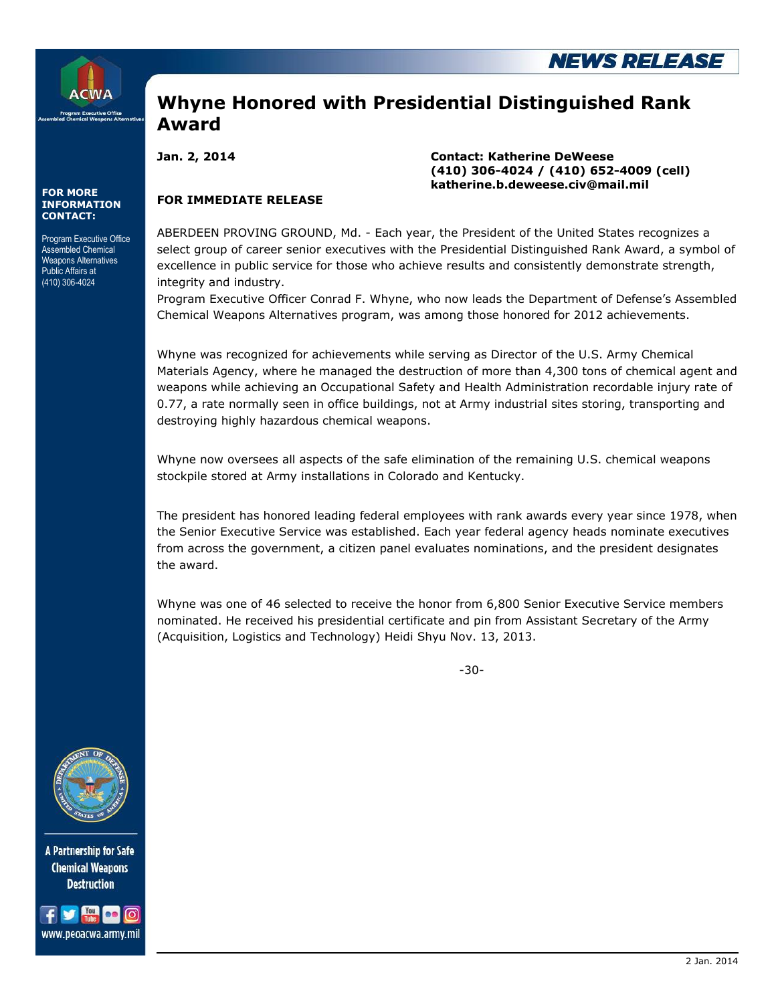

**FOR MORE INFORMATION CONTACT:**

Program Executive Office Assembled Chemical Weapons Alternatives Public Affairs at (410) 306-4024

## **Whyne Honored with Presidential Distinguished Rank Award**

**Jan. 2, 2014 Contact: Katherine DeWeese (410) 306-4024 / (410) 652-4009 (cell) katherine.b.deweese.civ@mail.mil**

## **FOR IMMEDIATE RELEASE**

ABERDEEN PROVING GROUND, Md. - Each year, the President of the United States recognizes a select group of career senior executives with the Presidential Distinguished Rank Award, a symbol of excellence in public service for those who achieve results and consistently demonstrate strength, integrity and industry.

Program Executive Officer Conrad F. Whyne, who now leads the Department of Defense's Assembled Chemical Weapons Alternatives program, was among those honored for 2012 achievements.

Whyne was recognized for achievements while serving as Director of the U.S. Army Chemical Materials Agency, where he managed the destruction of more than 4,300 tons of chemical agent and weapons while achieving an Occupational Safety and Health Administration recordable injury rate of 0.77, a rate normally seen in office buildings, not at Army industrial sites storing, transporting and destroying highly hazardous chemical weapons.

Whyne now oversees all aspects of the safe elimination of the remaining U.S. chemical weapons stockpile stored at Army installations in Colorado and Kentucky.

The president has honored leading federal employees with rank awards every year since 1978, when the Senior Executive Service was established. Each year federal agency heads nominate executives from across the government, a citizen panel evaluates nominations, and the president designates the award.

Whyne was one of 46 selected to receive the honor from 6,800 Senior Executive Service members nominated. He received his presidential certificate and pin from Assistant Secretary of the Army (Acquisition, Logistics and Technology) Heidi Shyu Nov. 13, 2013.

-30-



A Partnership for Safe **Chemical Weapons Destruction**